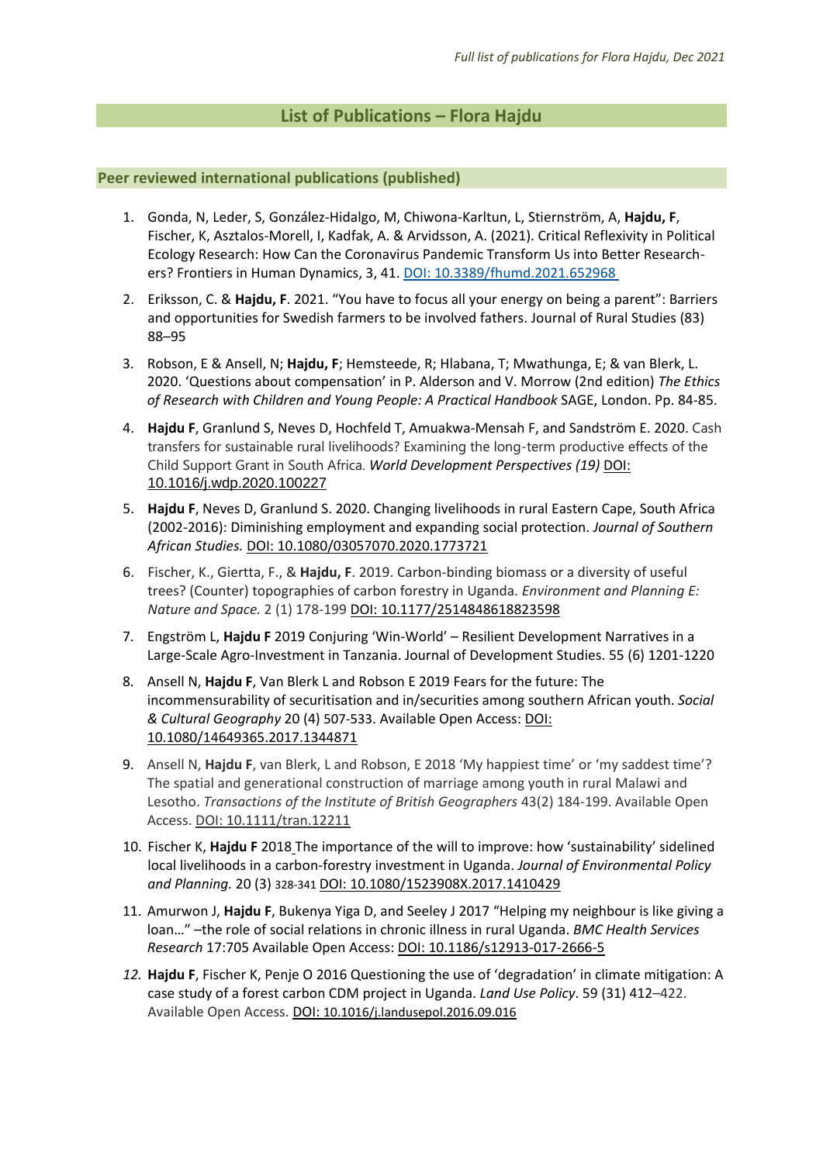# **List of Publications – Flora Hajdu**

# **Peer reviewed international publications (published)**

- 1. Gonda, N, Leder, S, González-Hidalgo, M, Chiwona-Karltun, L, Stiernström, A, **Hajdu, F**, Fischer, K, Asztalos-Morell, I, Kadfak, A. & Arvidsson, A. (2021). Critical Reflexivity in Political Ecology Research: How Can the Coronavirus Pandemic Transform Us into Better Researchers? Frontiers in Human Dynamics, 3, 41. [DOI: 10.3389/fhumd.2021.652968](https://doi.org/10.3389/fhumd.2021.652968)
- 2. Eriksson, C. & **Hajdu, F**. 2021. "You have to focus all your energy on being a parent": Barriers and opportunities for Swedish farmers to be involved fathers. Journal of Rural Studies (83) 88–95
- 3. Robson, E & Ansell, N; **Hajdu, F**; Hemsteede, R; Hlabana, T; Mwathunga, E; & van Blerk, L. 2020. 'Questions about compensation' in P. Alderson and V. Morrow (2nd edition) *The Ethics of Research with Children and Young People: A Practical Handbook* SAGE, London. Pp. 84-85.
- 4. **Hajdu F**, Granlund S, Neves D, Hochfeld T, Amuakwa-Mensah F, and Sandström E. 2020. Cash transfers for sustainable rural livelihoods? Examining the long-term productive effects of the Child Support Grant in South Africa. *World Development Perspectives (19)* DOI: [10.1016/j.wdp.2020.100227](https://doi.org/10.1016/j.wdp.2020.100227)
- 5. **Hajdu F**, Neves D, Granlund S. 2020. Changing livelihoods in rural Eastern Cape, South Africa (2002-2016): Diminishing employment and expanding social protection. *Journal of Southern African Studies.* DOI: 10.1080/03057070.2020.1773721
- 6. Fischer, K., Giertta, F., & **Hajdu, F**. 2019. Carbon-binding biomass or a diversity of useful trees? (Counter) topographies of carbon forestry in Uganda. *Environment and Planning E: Nature and Space.* 2 (1) 178-199 DOI: [10.1177/2514848618823598](https://doi.org/10.1177%2F2514848618823598)
- 7. Engström L, **Hajdu F** 2019 Conjuring 'Win-World' Resilient Development Narratives in a Large-Scale Agro-Investment in Tanzania. Journal of Development Studies. 55 (6) 1201-1220
- 8. Ansell N, **Hajdu F**, Van Blerk L and Robson E 2019 [Fears for the future: The](http://www.tandfonline.com/doi/full/10.1080/14649365.2017.1344871)  [incommensurability of securitisation and in/securities among southern African youth.](http://www.tandfonline.com/doi/full/10.1080/14649365.2017.1344871) *Social & Cultural Geography* 20 (4) 507-533. Available Open Access: [DOI:](http://dx.doi.org/10.1080/14649365.2017.1344871)  [10.1080/14649365.2017.1344871](http://dx.doi.org/10.1080/14649365.2017.1344871)
- 9. Ansell N, Hajdu F, van Blerk, L and Robson, E 2018 'My happiest time' or 'my saddest time'? The spatial and generational construction of marriage among youth in rural Malawi and Lesotho. *Transactions of the Institute of British Geographers* 43(2) 184-199. Available Open Access. DOI: 10.1111/tran.12211
- 10. Fischer K, **Hajdu F** 2018 The importance of the will to improve: how 'sustainability' sidelined local livelihoods in a carbon-forestry investment in Uganda. *Journal of Environmental Policy and Planning.* 20 (3) 328-341 [DOI: 10.1080/1523908X.2017.1410429](https://doi.org/10.1080/1523908X.2017.1410429)
- 11. Amurwon J, **Hajdu F**, Bukenya Yiga D, and Seeley J 2017 "Helping my neighbour is like giving a loan…" –the role of social relations in chronic illness in rural Uganda. *BMC Health Services Research* 17:705 Available Open Access: DOI: 10.1186/s12913-017-2666-5
- *12.* **Hajdu F**, Fischer K, Penje O 2016 Questioning the use of 'degradation' in climate mitigation: A case study of a forest carbon CDM project in Uganda. *Land Use Policy*[. 59](http://www.sciencedirect.com/science/journal/02648377/59/supp/C) (31) 412–422. Available Open Access. DOI: [10.1016/j.landusepol.2016.09.016](https://doi.org/10.1016/j.landusepol.2016.09.016)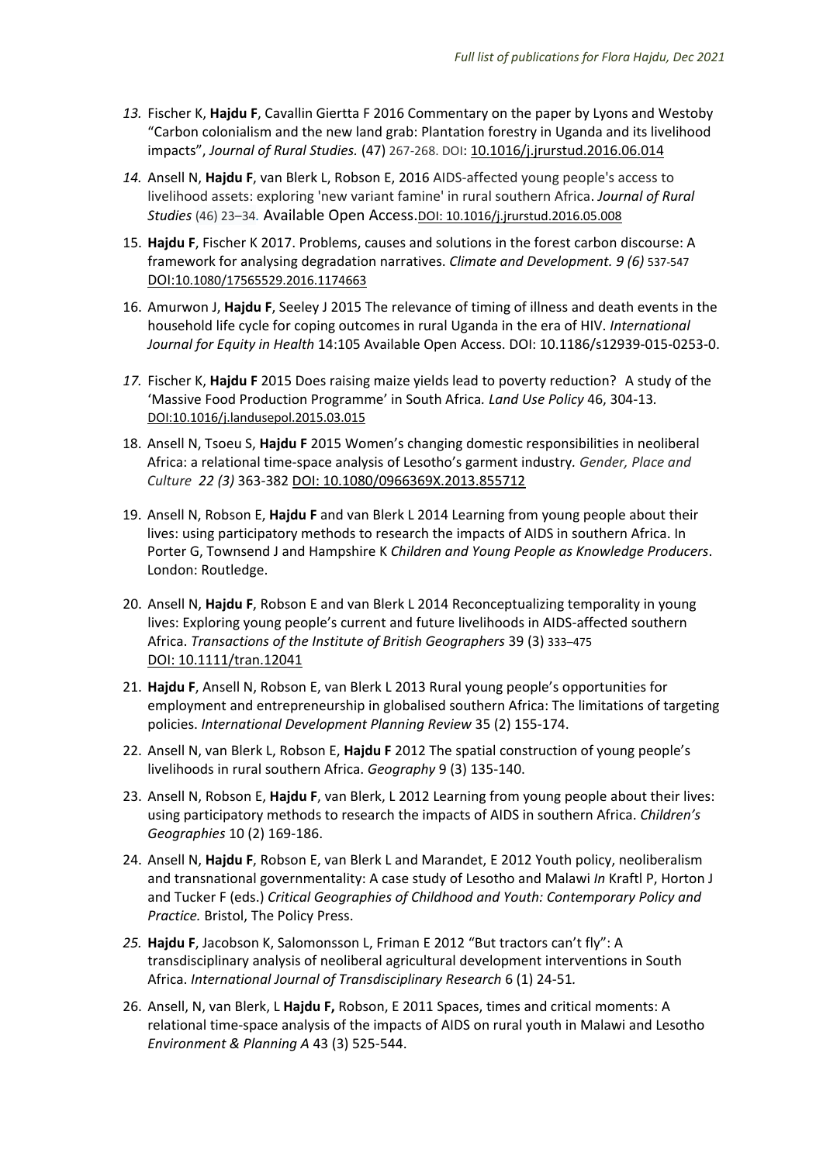- *13.* Fischer K, **Hajdu F**, Cavallin Giertta F 2016 Commentary on the paper by Lyons and Westoby "Carbon colonialism and the new land grab: Plantation forestry in Uganda and its livelihood impacts", *Journal of Rural Studies.* (47) 267-268. DOI: [10.1016/j.jrurstud.2016.06.014](https://doi.org/10.1016/j.jrurstud.2016.06.014)
- *14.* Ansell N, **Hajdu F**, van Blerk L, Robson E, 2016 AIDS-affected young people's access to livelihood assets: exploring 'new variant famine' in rural southern Africa. *Journal of Rural Studies* (46) 23–34*.* Available Open Access.DOI: [10.1016/j.jrurstud.2016.05.008](http://dx.doi.org/10.1016/j.jrurstud.2016.05.008)
- 15. **Hajdu F**, Fischer K 2017. Problems, causes and solutions in the forest carbon discourse: A framework for analysing degradation narratives. *Climate and Development. 9 (6)* 537-547 DOI:10.1080/17565529.2016.1174663
- 16. Amurwon J, **Hajdu F**, Seeley J 2015 The relevance of timing of illness and death events in the household life cycle for coping outcomes in rural Uganda in the era of HIV. *International Journal for Equity in Health* 14:105 Available Open Access. DOI: 10.1186/s12939-015-0253-0.
- *17.* Fischer K, **Hajdu F** 2015 Does raising maize yields lead to poverty reduction? A study of the 'Massive Food Production Programme' in South Africa*. Land Use Policy* 46, 304-13*.* [DOI:10.1016/j.landusepol.2015.03.015](http://dx.doi.org/10.1016/j.landusepol.2015.03.015)
- 18. Ansell N, Tsoeu S, **Hajdu F** 2015 Women's changing domestic responsibilities in neoliberal Africa: a relational time-space analysis of Lesotho's garment industry*. Gender, Place and Culture 22 (3)* 363-382 DOI: 10.1080/0966369X.2013.855712
- 19. Ansell N, Robson E, **Hajdu F** and van Blerk L 2014 Learning from young people about their lives: using participatory methods to research the impacts of AIDS in southern Africa. In Porter G, Townsend J and Hampshire K *Children and Young People as Knowledge Producers*. London: Routledge.
- 20. Ansell N, **Hajdu F**, Robson E and van Blerk L 2014 Reconceptualizing temporality in young lives: Exploring young people's current and future livelihoods in AIDS-affected southern Africa. *Transactions of the Institute of British Geographers* 39 (3) 333–475 DOI: 10.1111/tran.12041
- 21. **Hajdu F**, Ansell N, Robson E, van Blerk L 2013 Rural young people's opportunities for employment and entrepreneurship in globalised southern Africa: The limitations of targeting policies. *International Development Planning Review* 35 (2) 155-174.
- 22. Ansell N, van Blerk L, Robson E, **Hajdu F** 2012 The spatial construction of young people's livelihoods in rural southern Africa. *Geography* 9 (3) 135-140.
- 23. Ansell N, Robson E, **Hajdu F**, van Blerk, L 2012 Learning from young people about their lives: using participatory methods to research the impacts of AIDS in southern Africa. *Children's Geographies* 10 (2) 169-186.
- 24. Ansell N, **Hajdu F**, Robson E, van Blerk L and Marandet, E 2012 Youth policy, neoliberalism and transnational governmentality: A case study of Lesotho and Malawi *In* Kraftl P, Horton J and Tucker F (eds.) *Critical Geographies of Childhood and Youth: Contemporary Policy and Practice.* Bristol, The Policy Press.
- *25.* **Hajdu F**, Jacobson K, Salomonsson L, Friman E 2012 "But tractors can't fly": A transdisciplinary analysis of neoliberal agricultural development interventions in South Africa. *International Journal of Transdisciplinary Research* 6 (1) 24-51*.*
- 26. Ansell, N, van Blerk, L **Hajdu F,** Robson, E 2011 Spaces, times and critical moments: A relational time-space analysis of the impacts of AIDS on rural youth in Malawi and Lesotho *Environment & Planning A* 43 (3) 525-544.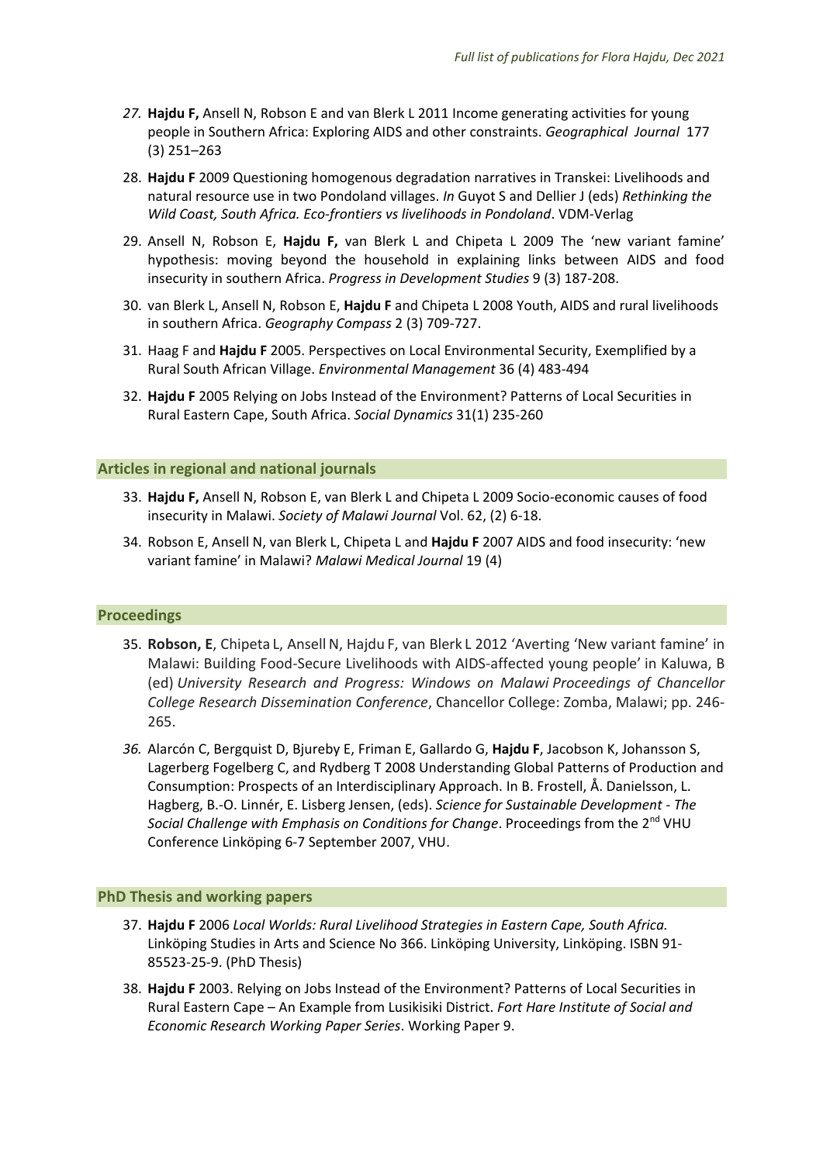- *27.* **Hajdu F,** Ansell N, Robson E and van Blerk L 2011 Income generating activities for young people in Southern Africa: Exploring AIDS and other constraints. *Geographical Journal* 177 (3) 251–263
- 28. **Hajdu F** 2009 Questioning homogenous degradation narratives in Transkei: Livelihoods and natural resource use in two Pondoland villages. *In* Guyot S and Dellier J (eds) *Rethinking the Wild Coast, South Africa. Eco-frontiers vs livelihoods in Pondoland*. VDM-Verlag
- 29. Ansell N, Robson E, **Hajdu F,** van Blerk L and Chipeta L 2009 The 'new variant famine' hypothesis: moving beyond the household in explaining links between AIDS and food insecurity in southern Africa. *Progress in Development Studies* 9 (3) 187-208.
- 30. van Blerk L, Ansell N, Robson E, **Hajdu F** and Chipeta L 2008 Youth, AIDS and rural livelihoods in southern Africa. *Geography Compass* 2 (3) 709-727.
- 31. Haag F and **Hajdu F** 2005. Perspectives on Local Environmental Security, Exemplified by a Rural South African Village. *Environmental Management* 36 (4) 483-494
- 32. **Hajdu F** 2005 Relying on Jobs Instead of the Environment? Patterns of Local Securities in Rural Eastern Cape, South Africa. *Social Dynamics* 31(1) 235-260

#### **Articles in regional and national journals**

- 33. **Hajdu F,** Ansell N, Robson E, van Blerk L and Chipeta L 2009 Socio-economic causes of food insecurity in Malawi. *Society of Malawi Journal* Vol. 62, (2) 6-18.
- 34. Robson E, Ansell N, van Blerk L, Chipeta L and **Hajdu F** 2007 AIDS and food insecurity: 'new variant famine' in Malawi? *Malawi Medical Journal* 19 (4)

## **Proceedings**

- 35. Robson, E, Chipeta L, Ansell N, Hajdu F, van Blerk L 2012 'Averting 'New variant famine' in Malawi: Building Food-Secure Livelihoods with AIDS-affected young people' in Kaluwa, B (ed) *University Research and Progress: Windows on Malawi Proceedings of Chancellor College Research Dissemination Conference*, Chancellor College: Zomba, Malawi; pp. 246- 265.
- *36.* Alarcón C, Bergquist D, Bjureby E, Friman E, Gallardo G, **Hajdu F**, Jacobson K, Johansson S, Lagerberg Fogelberg C, and Rydberg T 2008 Understanding Global Patterns of Production and Consumption: Prospects of an Interdisciplinary Approach. In B. Frostell, Å. Danielsson, L. Hagberg, B.-O. Linnér, E. Lisberg Jensen, (eds). *Science for Sustainable Development - The Social Challenge with Emphasis on Conditions for Change*. Proceedings from the 2nd VHU Conference Linköping 6-7 September 2007, VHU.

#### **PhD Thesis and working papers**

- 37. **Hajdu F** 2006 *Local Worlds: Rural Livelihood Strategies in Eastern Cape, South Africa.*  Linköping Studies in Arts and Science No 366. Linköping University, Linköping. ISBN 91- 85523-25-9. (PhD Thesis)
- 38. **Hajdu F** 2003. Relying on Jobs Instead of the Environment? Patterns of Local Securities in Rural Eastern Cape – An Example from Lusikisiki District. *Fort Hare Institute of Social and Economic Research Working Paper Series*. Working Paper 9.